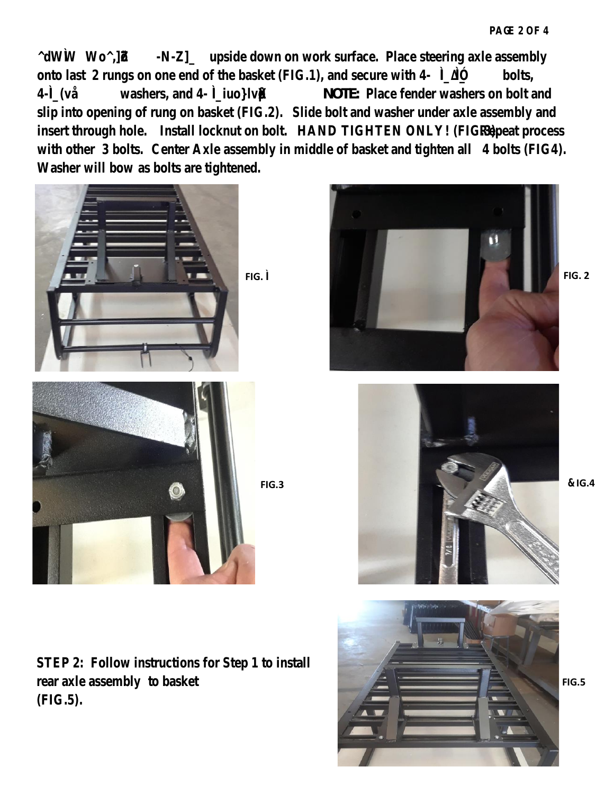**dWW Wo.** $\boldsymbol{\mathfrak{F}}$  **-N- Z ] up<u>s</u>ide down on work surface. Place steering axle assembly**  $\boldsymbol{\mathfrak{F}}$ **onto last zrungs on one end of the basket (FIG.1), and secure in viðula 44 bolits, 4** - í  $\delta$   $\alpha$  (washe **E**, and **4** -  $\delta$   $\alpha$  i u o  $\gamma$ OTEv  $\beta$  **Place X** fender washers on bolt and slip into opening of rung on basket (FIGLE) bolt and washer under axle assembly and insert through holdnstall locknut on bollHAND TIGHTEN ONLY! (FIG.3)Repeat process with otheß bolts. Center Axle assembly in middle of basket and tighteboatts (FIG4). Washer wilbowas bolts are tightened.



**FIG. 2** 

STEP 2: Follow instructions for Step 1 to install rear axle assemblo basket **(FIG.5).** 



 **FIG.5**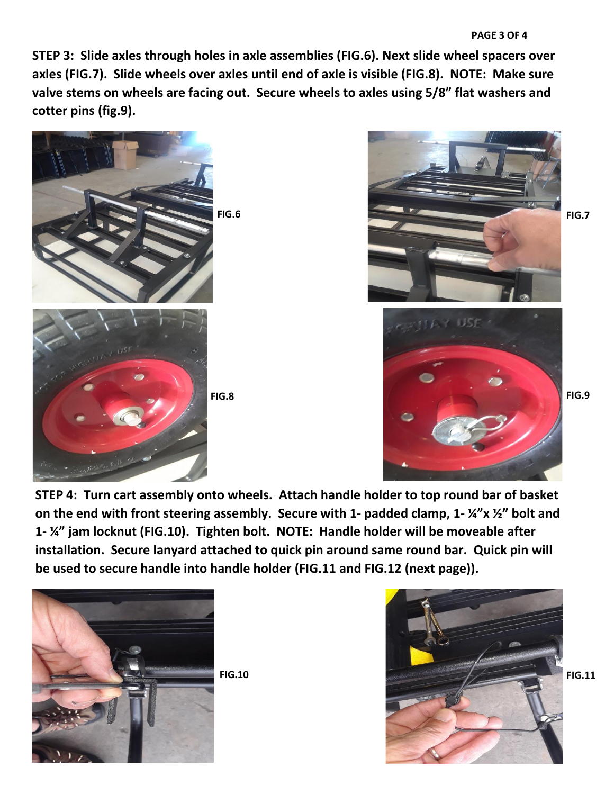**STEP 3: Slide axles through holes in axle assemblies (FIG.6). Next slide wheel spacers over axles (FIG.7). Slide wheels over axles until end of axle is visible (FIG.8). NOTE: Make sure valve stems on wheels are facing out. Secure wheels to axles using 5/8" flat washers and cotter pins (fig.9).** 





**STEP 4: Turn cart assembly onto wheels. Attach handle holder to top round bar of basket on the end with front steering assembly. Secure with 1- padded clamp, 1- ¼"x ½" bolt and 1- ¼" jam locknut (FIG.10). Tighten bolt. NOTE: Handle holder will be moveable after installation. Secure lanyard attached to quick pin around same round bar. Quick pin will be used to secure handle into handle holder (FIG.11 and FIG.12 (next page)).**